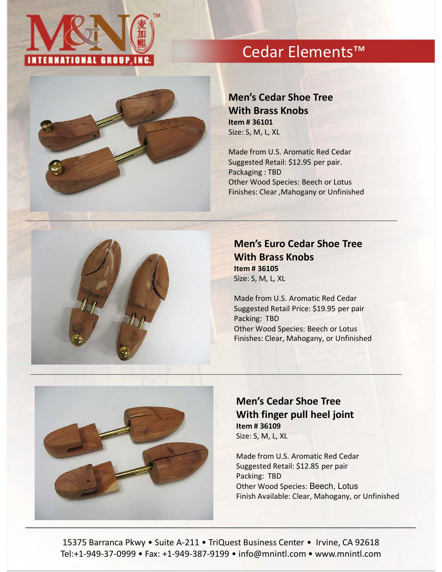

# Cedar Elements™



### Men's Cedar Shoe Tree With Brass Knobs Item # 36101 Size: S, M, L, XL

Made from U.S. Aromatic Red Cedar Suggested Retail: \$12.95 per pair. Packaging : TBD Other Wood Species: Beech or Lotus Finishes: Clear ,Mahogany or Unfinished



### Men's Euro Cedar Shoe Tree With Brass Knobs Item # 36105 Size: S, M, L, XL

Made from U.S. Aromatic Red Cedar Suggested Retail Price: \$19.95 per pair Packing: TBD Other Wood Species: Beech or Lotus Finishes: Clear, Mahogany, or Unfinished



### Men's Cedar Shoe Tree With finger pull heel joint Item # 36109 Size: S, M, L, XL

Made from U.S. Aromatic Red Cedar Suggested Retail: \$12.85 per pair Packing: TBD Other Wood Species: Beech, Lotus Finish Available: Clear, Mahogany, or Unfinished

15375 Barranca Pkwy • Suite A-211 • TriQuest Business Center • Irvine, CA 92618 Tel:+1-949-37-0999 • Fax: +1-949-387-9199 • info@mnintl.com • www.mnintl.com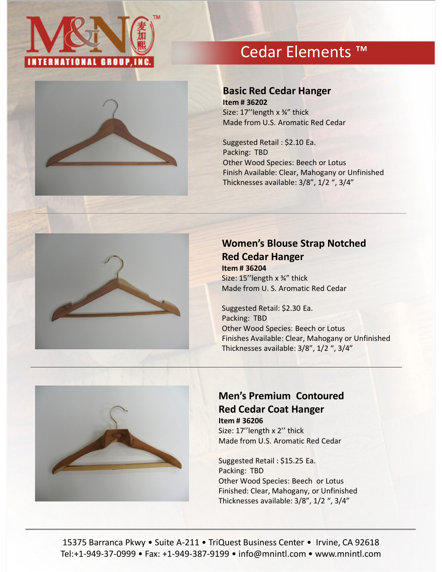

# Cedar Elements ™



#### Basic Red Cedar Hanger

Item # 36202 Size: 17''length x ¾" thick Made from U.S. Aromatic Red Cedar

Suggested Retail : \$2.10 Ea. Packing: TBD Other Wood Species: Beech or Lotus Finish Available: Clear, Mahogany or Unfinished Thicknesses available: 3/8", 1/2 ", 3/4"



### Women's Blouse Strap Notched Red Cedar Hanger Item # 36204

Size: 15''length x ¾" thick Made from U. S. Aromatic Red Cedar

Suggested Retail: \$2.30 Ea. Packing: TBD Other Wood Species: Beech or Lotus Finishes Available: Clear, Mahogany or Unfinished Thicknesses available: 3/8", 1/2 ", 3/4"



## Men's Premium Contoured Red Cedar Coat Hanger

Item # 36206 Size: 17''length x 2'' thick Made from U.S. Aromatic Red Cedar

Suggested Retail : \$15.25 Ea. Packing: TBD Other Wood Species: Beech or Lotus Finished: Clear, Mahogany, or Unfinished Thicknesses available: 3/8", 1/2 ", 3/4"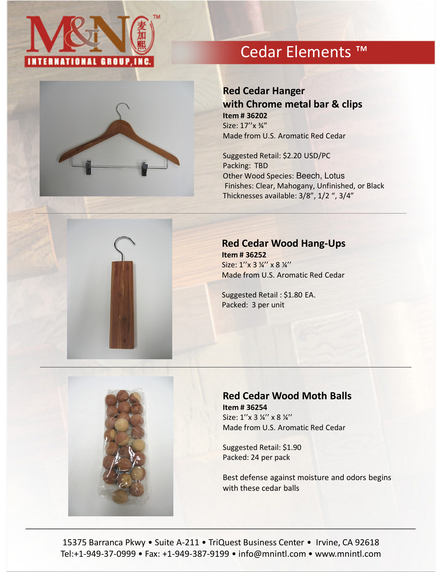

# Cedar Elements ™



### Red Cedar Hanger with Chrome metal bar & clips Item # 36202 Size: 17''x ¾"

Made from U.S. Aromatic Red Cedar

Suggested Retail: \$2.20 USD/PC Packing: TBD Other Wood Species: Beech, Lotus Finishes: Clear, Mahogany, Unfinished, or Black Thicknesses available: 3/8", 1/2 ", 3/4"

#### Red Cedar Wood Hang-Ups

Item # 36252 Size: 1"x 3 1/4" x 8 1/4" Made from U.S. Aromatic Red Cedar

Suggested Retail : \$1.80 EA. Packed: 3 per unit



#### Red Cedar Wood Moth Balls Item # 36254

Size: 1"x 3 14" x 8 14" Made from U.S. Aromatic Red Cedar

Suggested Retail: \$1.90 Packed: 24 per pack

Best defense against moisture and odors begins with these cedar balls

15375 Barranca Pkwy • Suite A-211 • TriQuest Business Center • Irvine, CA 92618 Tel:+1-949-37-0999 • Fax: +1-949-387-9199 • info@mnintl.com • www.mnintl.com